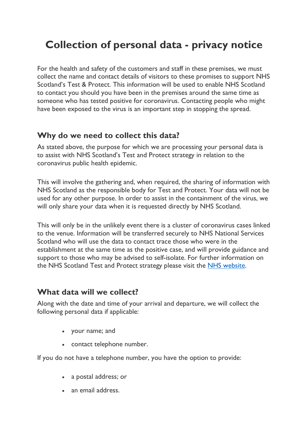# Collection of personal data - privacy notice

For the health and safety of the customers and staff in these premises, we must collect the name and contact details of visitors to these promises to support NHS Scotland's Test & Protect. This information will be used to enable NHS Scotland to contact you should you have been in the premises around the same time as someone who has tested positive for coronavirus. Contacting people who might have been exposed to the virus is an important step in stopping the spread.

#### Why do we need to collect this data?

As stated above, the purpose for which we are processing your personal data is to assist with NHS Scotland's Test and Protect strategy in relation to the coronavirus public health epidemic.

This will involve the gathering and, when required, the sharing of information with NHS Scotland as the responsible body for Test and Protect. Your data will not be used for any other purpose. In order to assist in the containment of the virus, we will only share your data when it is requested directly by NHS Scotland.

This will only be in the unlikely event there is a cluster of coronavirus cases linked to the venue. Information will be transferred securely to NHS National Services Scotland who will use the data to contact trace those who were in the establishment at the same time as the positive case, and will provide guidance and support to those who may be advised to self-isolate. For further information on the NHS Scotland Test and Protect strategy please visit the NHS website.

#### What data will we collect?

Along with the date and time of your arrival and departure, we will collect the following personal data if applicable:

- your name; and
- contact telephone number.

If you do not have a telephone number, you have the option to provide:

- a postal address; or
- an email address.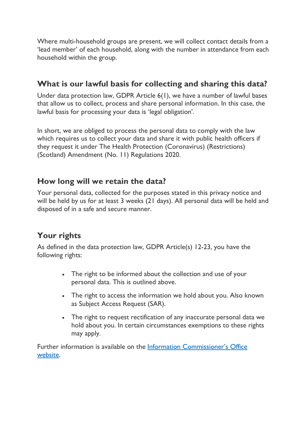Where multi-household groups are present, we will collect contact details from a 'lead member' of each household, along with the number in attendance from each household within the group.

## What is our lawful basis for collecting and sharing this data?

Under data protection law, GDPR Article 6(1), we have a number of lawful bases that allow us to collect, process and share personal information. In this case, the lawful basis for processing your data is 'legal obligation'.

In short, we are obliged to process the personal data to comply with the law which requires us to collect your data and share it with public health officers if they request it under The Health Protection (Coronavirus) (Restrictions) (Scotland) Amendment (No. 11) Regulations 2020.

### How long will we retain the data?

Your personal data, collected for the purposes stated in this privacy notice and will be held by us for at least 3 weeks (21 days). All personal data will be held and disposed of in a safe and secure manner.

## Your rights

As defined in the data protection law, GDPR Article(s) 12-23, you have the following rights:

- The right to be informed about the collection and use of your personal data. This is outlined above.
- The right to access the information we hold about you. Also known as Subject Access Request (SAR).
- The right to request rectification of any inaccurate personal data we hold about you. In certain circumstances exemptions to these rights may apply.

Further information is available on the Information Commissioner's Office website.